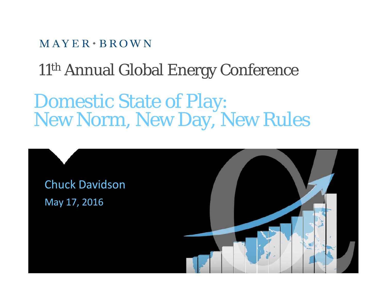$MAYER \cdot BROWN$ 

11th Annual Global Energy Conference

Domestic State of Play:<br>New Norm, New Day, New Rules

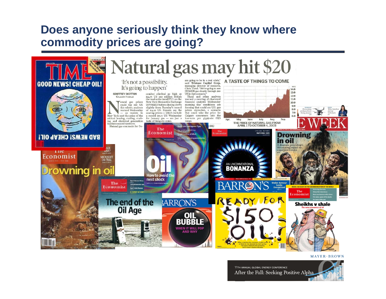## **Does anyone seriously think they know where commodity prices are going?**



#### $MAYER+BROWN$

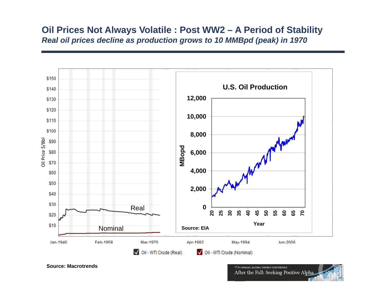#### **Oil Prices Not Always Volatile : Post WW2 – A Period of Stability** *Real oil prices decline as production grows to 10 MMBpd (peak) in 1970*



**Source: Macrotrends**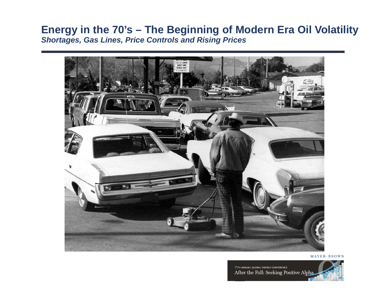#### **Energy in the 70's – The Beginning of Modern Era Oil Volatility** *Shortages, Gas Lines, Price Controls and Rising Prices*



 $MAYER+BROWN$ 

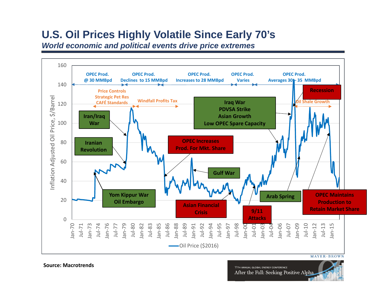# **U.S. Oil Prices Highly Volatile Since Early 70's**

*World economic and political events drive price extremes*



**Source: Macrotrends**

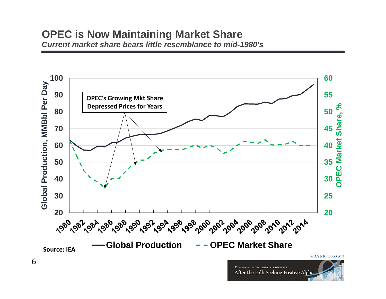#### **OPEC is Now Maintaining Market Share** *Current market share bears little resemblance to mid-1980's*

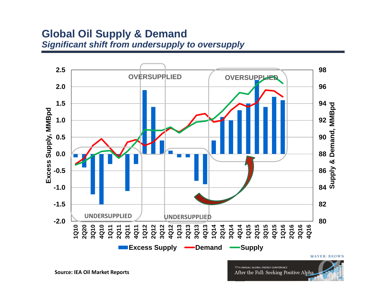#### **Global Oil Supply & Demand** *Significant shift from undersupply to oversupply*

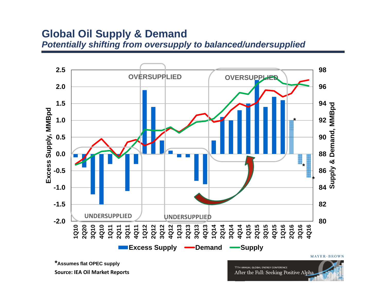#### **Global Oil Supply & Demand** *Potentially shifting from oversupply to balanced/undersupplied*

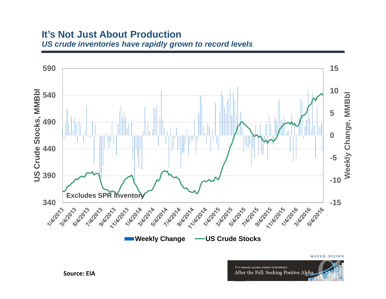#### **It's Not Just About Production***US crude inventories have rapidly grown to record levels*

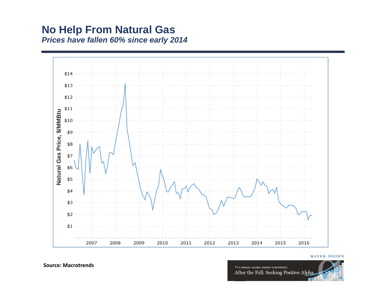#### **No Help From Natural Gas** *Prices have fallen 60% since early 2014*



 $MAYER+BROWN$ 



**Source: Macrotrends**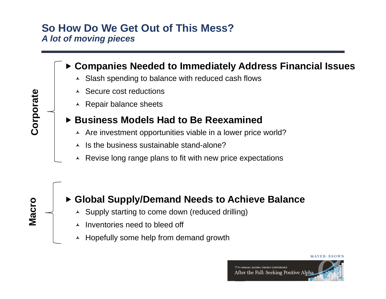### **So How Do We Get Out of This Mess?**  *A lot of moving pieces*

#### **Companies Needed to Immediately Address Financial Issues**

- Slash spending to balance with reduced cash flows
- $\lambda$  Secure cost reductions
- $\overline{\phantom{a}}$  Repair balance sheets

#### **Business Models Had to Be Reexamined**

- **O** | Are investment opportunities viable in a lower price world?
	- $\lambda$  Is the business sustainable stand-alone?
	- $\lambda$  Revise long range plans to fit with new price expectations



#### **Global Supply/Demand Needs to Achieve Balance**

- Supply starting to come down (reduced drilling)
- ▴ Inventories need to bleed off
- $\overline{\phantom{a}}$  Hopefully some help from demand growth



**orporate**

**e**